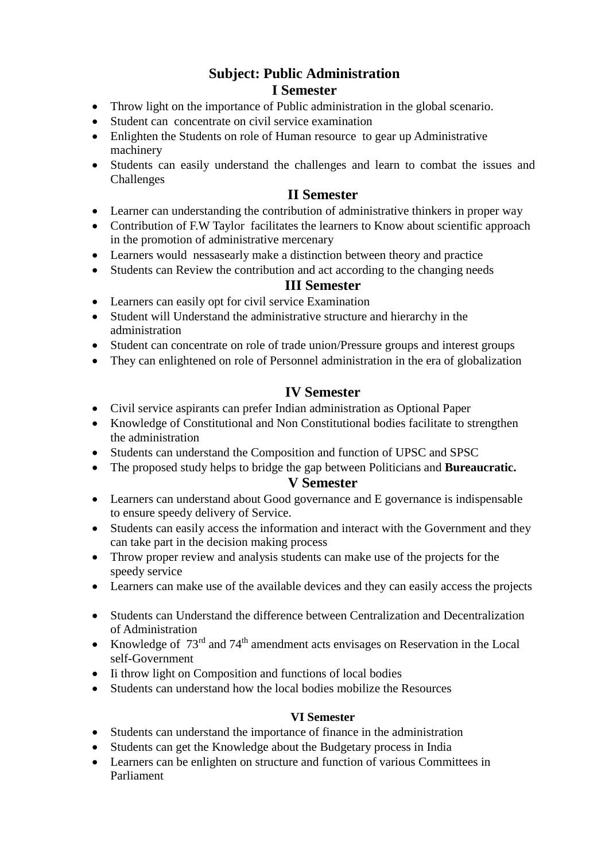## **Subject: Public Administration I Semester**

- Throw light on the importance of Public administration in the global scenario.
- Student can concentrate on civil service examination
- Enlighten the Students on role of Human resource to gear up Administrative machinery
- Students can easily understand the challenges and learn to combat the issues and Challenges

### **II Semester**

- Learner can understanding the contribution of administrative thinkers in proper way
- Contribution of F.W Taylor facilitates the learners to Know about scientific approach in the promotion of administrative mercenary
- Learners would nessasearly make a distinction between theory and practice
- Students can Review the contribution and act according to the changing needs

#### **III Semester**

- Learners can easily opt for civil service Examination
- Student will Understand the administrative structure and hierarchy in the administration
- Student can concentrate on role of trade union/Pressure groups and interest groups
- They can enlightened on role of Personnel administration in the era of globalization

### **IV Semester**

- Civil service aspirants can prefer Indian administration as Optional Paper
- Knowledge of Constitutional and Non Constitutional bodies facilitate to strengthen the administration
- Students can understand the Composition and function of UPSC and SPSC
- The proposed study helps to bridge the gap between Politicians and **Bureaucratic.**

#### **V Semester**

- Learners can understand about Good governance and E governance is indispensable to ensure speedy delivery of Service.
- Students can easily access the information and interact with the Government and they can take part in the decision making process
- Throw proper review and analysis students can make use of the projects for the speedy service
- Learners can make use of the available devices and they can easily access the projects
- Students can Understand the difference between Centralization and Decentralization of Administration
- Knowledge of  $73<sup>rd</sup>$  and  $74<sup>th</sup>$  amendment acts envisages on Reservation in the Local self-Government
- Ii throw light on Composition and functions of local bodies
- Students can understand how the local bodies mobilize the Resources

#### **VI Semester**

- Students can understand the importance of finance in the administration
- Students can get the Knowledge about the Budgetary process in India
- Learners can be enlighten on structure and function of various Committees in Parliament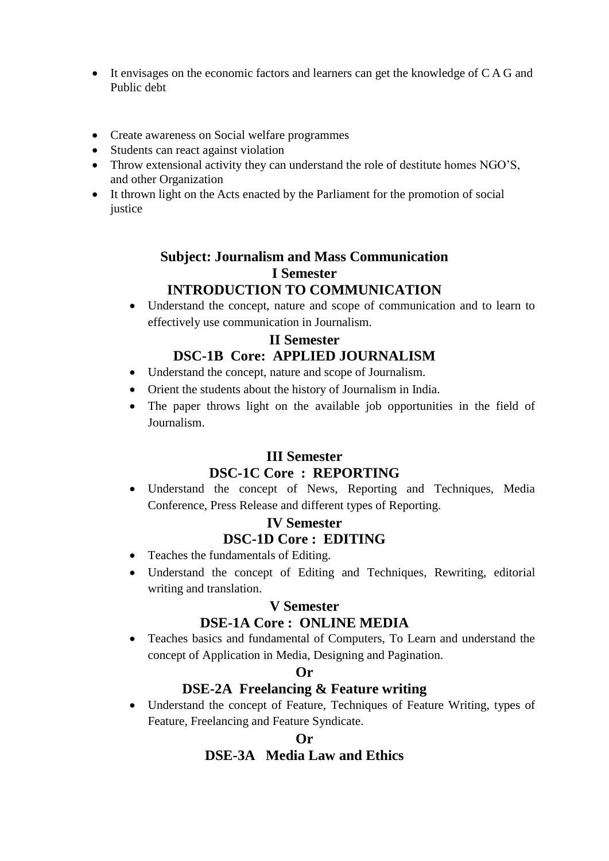- It envisages on the economic factors and learners can get the knowledge of C A G and Public debt
- Create awareness on Social welfare programmes
- Students can react against violation
- Throw extensional activity they can understand the role of destitute homes NGO'S, and other Organization
- It thrown light on the Acts enacted by the Parliament for the promotion of social justice

### **Subject: Journalism and Mass Communication I Semester INTRODUCTION TO COMMUNICATION**

 Understand the concept, nature and scope of communication and to learn to effectively use communication in Journalism.

# **II Semester DSC-1B Core: APPLIED JOURNALISM**

- Understand the concept, nature and scope of Journalism.
- Orient the students about the history of Journalism in India.
- The paper throws light on the available job opportunities in the field of Journalism.

### **III Semester DSC-1C Core : REPORTING**

 Understand the concept of News, Reporting and Techniques, Media Conference, Press Release and different types of Reporting.

### **IV Semester DSC-1D Core : EDITING**

- Teaches the fundamentals of Editing.
- Understand the concept of Editing and Techniques, Rewriting, editorial writing and translation.

#### **V Semester**

### **DSE-1A Core : ONLINE MEDIA**

 Teaches basics and fundamental of Computers, To Learn and understand the concept of Application in Media, Designing and Pagination.

#### **Or**

#### **DSE-2A Freelancing & Feature writing**

 Understand the concept of Feature, Techniques of Feature Writing, types of Feature, Freelancing and Feature Syndicate.

### **Or DSE-3A Media Law and Ethics**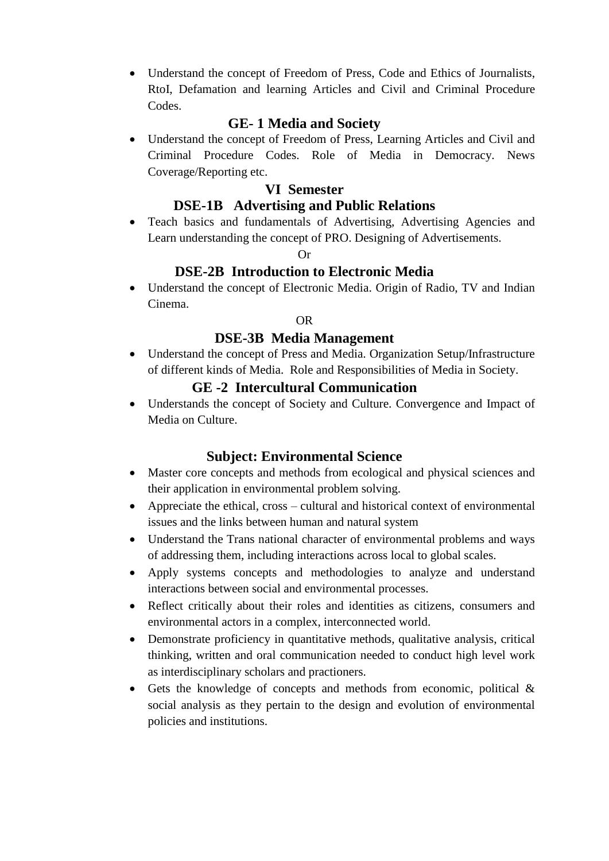Understand the concept of Freedom of Press, Code and Ethics of Journalists, RtoI, Defamation and learning Articles and Civil and Criminal Procedure Codes.

### **GE- 1 Media and Society**

 Understand the concept of Freedom of Press, Learning Articles and Civil and Criminal Procedure Codes. Role of Media in Democracy. News Coverage/Reporting etc.

### **VI Semester**

### **DSE-1B Advertising and Public Relations**

 Teach basics and fundamentals of Advertising, Advertising Agencies and Learn understanding the concept of PRO. Designing of Advertisements.

#### Or

### **DSE-2B Introduction to Electronic Media**

 Understand the concept of Electronic Media. Origin of Radio, TV and Indian Cinema.

### OR

### **DSE-3B Media Management**

 Understand the concept of Press and Media. Organization Setup/Infrastructure of different kinds of Media. Role and Responsibilities of Media in Society.

### **GE -2 Intercultural Communication**

 Understands the concept of Society and Culture. Convergence and Impact of Media on Culture.

## **Subject: Environmental Science**

- Master core concepts and methods from ecological and physical sciences and their application in environmental problem solving.
- Appreciate the ethical, cross cultural and historical context of environmental issues and the links between human and natural system
- Understand the Trans national character of environmental problems and ways of addressing them, including interactions across local to global scales.
- Apply systems concepts and methodologies to analyze and understand interactions between social and environmental processes.
- Reflect critically about their roles and identities as citizens, consumers and environmental actors in a complex, interconnected world.
- Demonstrate proficiency in quantitative methods, qualitative analysis, critical thinking, written and oral communication needed to conduct high level work as interdisciplinary scholars and practioners.
- Gets the knowledge of concepts and methods from economic, political  $\&$ social analysis as they pertain to the design and evolution of environmental policies and institutions.